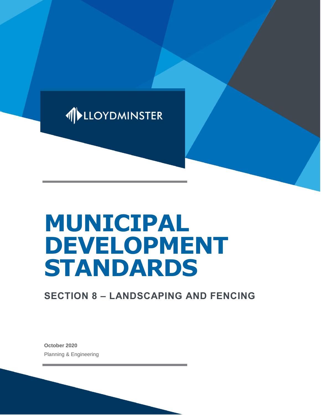

# **MUNICIPAL DEVELOPMENT STANDARDS**

# **SECTION 8 – LANDSCAPING AND FENCING**

**October 2020** Planning & Engineering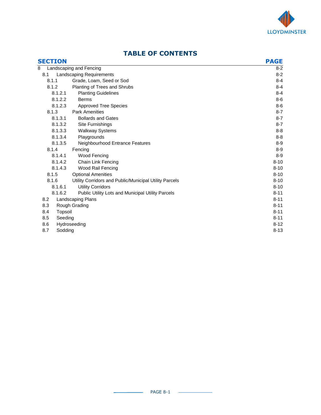

| <b>SECTION</b> |         |                                                        | <b>PAGE</b> |
|----------------|---------|--------------------------------------------------------|-------------|
| 8              |         | Landscaping and Fencing                                | $8 - 2$     |
| 8.1            |         | <b>Landscaping Requirements</b>                        | $8 - 2$     |
| 8.1.1          |         | Grade, Loam, Seed or Sod                               | $8 - 4$     |
| 8.1.2          |         | Planting of Trees and Shrubs                           | $8 - 4$     |
|                | 8.1.2.1 | <b>Planting Guidelines</b>                             | $8 - 4$     |
|                | 8.1.2.2 | <b>Berms</b>                                           | $8-6$       |
|                | 8.1.2.3 | <b>Approved Tree Species</b>                           | $8-6$       |
| 8.1.3          |         | <b>Park Amenities</b>                                  | $8 - 7$     |
|                | 8.1.3.1 | <b>Bollards and Gates</b>                              | $8 - 7$     |
|                | 8.1.3.2 | <b>Site Furnishings</b>                                | $8 - 7$     |
|                | 8.1.3.3 | <b>Walkway Systems</b>                                 | $8 - 8$     |
|                | 8.1.3.4 | Playgrounds                                            | $8 - 8$     |
|                | 8.1.3.5 | Neighbourhood Entrance Features                        | $8 - 9$     |
| 8.1.4          |         | Fencing                                                | $8-9$       |
|                | 8.1.4.1 | Wood Fencing                                           | $8 - 9$     |
|                | 8.1.4.2 | Chain Link Fencing                                     | $8 - 10$    |
|                | 8.1.4.3 | Wood Rail Fencing                                      | $8 - 10$    |
| 8.1.5          |         | <b>Optional Amenities</b>                              | $8 - 10$    |
| 8.1.6          |         | Utility Corridors and Public/Municipal Utility Parcels | $8 - 10$    |
|                | 8.1.6.1 | <b>Utility Corridors</b>                               | $8 - 10$    |
|                | 8.1.6.2 | Public Utility Lots and Municipal Utility Parcels      | $8 - 11$    |
| 8.2            |         | Landscaping Plans                                      | $8 - 11$    |
| 8.3            |         | Rough Grading                                          | $8 - 11$    |
| 8.4            | Topsoil |                                                        | $8 - 11$    |
| 8.5            | Seeding |                                                        | $8 - 11$    |
| 8.6            |         | Hydroseeding                                           | $8 - 12$    |
| 8.7            | Sodding |                                                        | $8 - 13$    |

# **TABLE OF CONTENTS**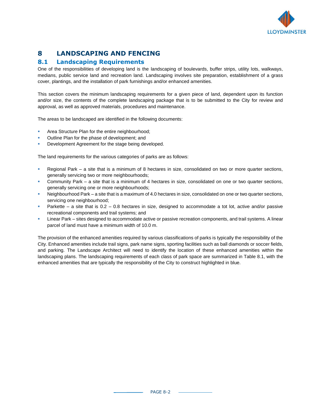

# **8 LANDSCAPING AND FENCING**

#### **8.1 Landscaping Requirements**

One of the responsibilities of developing land is the landscaping of boulevards, buffer strips, utility lots, walkways, medians, public service land and recreation land. Landscaping involves site preparation, establishment of a grass cover, plantings, and the installation of park furnishings and/or enhanced amenities.

This section covers the minimum landscaping requirements for a given piece of land, dependent upon its function and/or size, the contents of the complete landscaping package that is to be submitted to the City for review and approval, as well as approved materials, procedures and maintenance.

The areas to be landscaped are identified in the following documents:

- Area Structure Plan for the entire neighbourhood;
- Outline Plan for the phase of development; and
- Development Agreement for the stage being developed.

The land requirements for the various categories of parks are as follows:

- Regional Park a site that is a minimum of 8 hectares in size, consolidated on two or more quarter sections, generally servicing two or more neighbourhoods;
- Community Park a site that is a minimum of 4 hectares in size, consolidated on one or two quarter sections, generally servicing one or more neighbourhoods;
- Neighbourhood Park a site that is a maximum of 4.0 hectares in size, consolidated on one or two quarter sections, servicing one neighbourhood;
- Parkette a site that is  $0.2 0.8$  hectares in size, designed to accommodate a tot lot, active and/or passive recreational components and trail systems; and
- Linear Park sites designed to accommodate active or passive recreation components, and trail systems. A linear parcel of land must have a minimum width of 10.0 m.

The provision of the enhanced amenities required by various classifications of parks is typically the responsibility of the City. Enhanced amenities include trail signs, park name signs, sporting facilities such as ball diamonds or soccer fields, and parking. The Landscape Architect will need to identify the location of these enhanced amenities within the landscaping plans. The landscaping requirements of each class of park space are summarized in Table 8.1, with the enhanced amenities that are typically the responsibility of the City to construct highlighted in blue.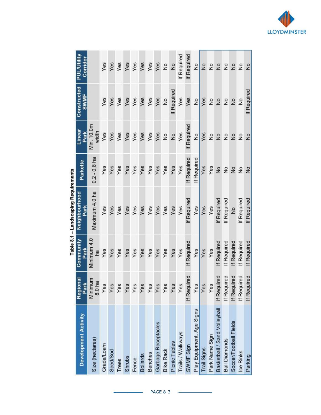|                              |                    |                   | able 0.1 – Lanua Childhong Redunements |                    |                     |                            |                                |
|------------------------------|--------------------|-------------------|----------------------------------------|--------------------|---------------------|----------------------------|--------------------------------|
| <b>Development Activity</b>  | Regional<br>Park   | Community<br>Park | Neighbourhood<br>Park                  | Parkette           | Linear<br>Park      | Constructed<br><b>SWMF</b> | <b>PUL/Utility</b><br>Corridor |
| Size (hectares)              | Minimum<br>8.0 ha  | Minimum 4.0<br>na | Maximum 4.0 ha                         | $0.2 - 0.8$ ha     | Min. 10.0m<br>width |                            |                                |
| Grade/Loam                   | Yes                | Yes               | Yes                                    | Yes                | Yes                 | Yes                        | Yes                            |
| Seed/Sod                     | Yes                | Yes               | Yes                                    | Yes                | Yes                 | Yes                        | Yes                            |
| Trees                        | Yes                | Yes               | Yes                                    | Yes                | Yes                 | Yes                        | Yes                            |
| <b>Shrubs</b>                | Yes                | Yes               | Yes                                    | Yes                | Yes                 | Yes                        | Yes                            |
| Fence                        | Yes                | Yes               | Yes                                    | Yes                | Yes                 | Yes                        | Yes                            |
| <b>Bollards</b>              | $Y$ es             | Yes               | Yes                                    | Yes                | Yes                 | Yes                        | Yes                            |
| <b>Benches</b>               | Yes                | Yes               | Yes                                    | Yes                | Yes                 | Yes                        | Yes                            |
| Garbage Receptacles          | Yes                | Yes               | Yes                                    | Yes                | Yes                 | Yes                        | Yes                            |
| <b>Bike Rack</b>             | Yes                | Yes               | Yes                                    | Yes                | $\frac{1}{2}$       | ş                          | ş                              |
| Picnic Tables                | Yes                | Yes               | Yes                                    | Yes                | $\frac{1}{2}$       | If Required                | $\frac{1}{2}$                  |
| Trails / Walkways            | Yes                | Yes               | Yes                                    | Yes                | Yes                 | Yes                        | <b>If Required</b>             |
| SWMF Sign                    | If Required        | If Required       | <b>If Required</b>                     | <b>If Required</b> | <b>If Required</b>  | Yes                        | <b>If Required</b>             |
| Play Equipment, Age Signs    | Yes                | Yes               | Yes                                    | If Required        | $\frac{1}{2}$       | $\frac{1}{2}$              | ž                              |
| Trail Signs                  | Yes                | Yes               | Yes                                    | Yes                | Yes                 | Yes                        | $\frac{1}{2}$                  |
| Park Name Sign               | Yes                | Yes               | Yes                                    | Yes                | ş                   | ş                          | ş                              |
| Basketball / Sand Volleyball | If Required        | If Required       | If Required                            | $\frac{1}{2}$      | $\frac{1}{2}$       | $\frac{1}{2}$              | $\frac{1}{2}$                  |
| <b>Ball Diamonds</b>         | If Required        | If Required       | If Required                            | $\frac{1}{2}$      | $\frac{1}{2}$       | $\frac{1}{2}$              | $\frac{\circ}{\circ}$          |
| Soccer/Football Fields       | If Required        | If Required       | $\frac{1}{2}$                          | $\frac{1}{2}$      | $\frac{1}{2}$       | $\frac{1}{2}$              | $\frac{1}{2}$                  |
| Ice Rinks                    | If Required        | If Required       | If Required                            | $\frac{1}{2}$      | ş                   | ş                          | ş                              |
| Parking                      | <b>If Required</b> | If Required       | If Required                            | $\frac{1}{2}$      | $\frac{1}{2}$       | If Required                | $\frac{1}{2}$                  |

Table 8.1 - Landscaping Requirements

- 1

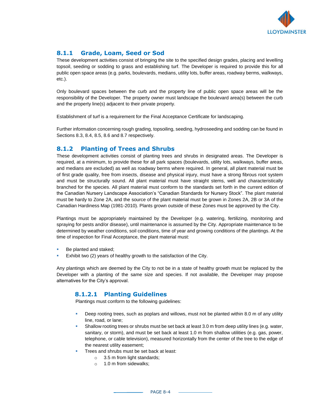

# **8.1.1 Grade, Loam, Seed or Sod**

These development activities consist of bringing the site to the specified design grades, placing and levelling topsoil, seeding or sodding to grass and establishing turf. The Developer is required to provide this for all public open space areas (e.g. parks, boulevards, medians, utility lots, buffer areas, roadway berms, walkways, etc.).

Only boulevard spaces between the curb and the property line of public open space areas will be the responsibility of the Developer. The property owner must landscape the boulevard area(s) between the curb and the property line(s) adjacent to their private property.

Establishment of turf is a requirement for the Final Acceptance Certificate for landscaping.

Further information concerning rough grading, topsoiling, seeding, hydroseeding and sodding can be found in Sections 8.3, 8.4, 8.5, 8.6 and 8.7 respectively.

#### **8.1.2 Planting of Trees and Shrubs**

These development activities consist of planting trees and shrubs in designated areas. The Developer is required, at a minimum, to provide these for all park spaces (boulevards, utility lots, walkways, buffer areas, and medians are excluded) as well as roadway berms where required. In general, all plant material must be of first grade quality, free from insects, disease and physical injury, must have a strong fibrous root system and must be structurally sound. All plant material must have straight stems, well and characteristically branched for the species. All plant material must conform to the standards set forth in the current edition of the Canadian Nursery Landscape Association's "Canadian Standards for Nursery Stock". The plant material must be hardy to Zone 2A, and the source of the plant material must be grown in Zones 2A, 2B or 3A of the Canadian Hardiness Map (1981-2010). Plants grown outside of these Zones must be approved by the City.

Plantings must be appropriately maintained by the Developer (e.g. watering, fertilizing, monitoring and spraying for pests and/or disease), until maintenance is assumed by the City. Appropriate maintenance to be determined by weather conditions, soil conditions, time of year and growing conditions of the plantings. At the time of inspection for Final Acceptance, the plant material must:

- Be planted and staked;
- Exhibit two (2) years of healthy growth to the satisfaction of the City.

Any plantings which are deemed by the City to not be in a state of healthy growth must be replaced by the Developer with a planting of the same size and species. If not available, the Developer may propose alternatives for the City's approval.

#### **8.1.2.1 Planting Guidelines**

Plantings must conform to the following guidelines:

- Deep rooting trees, such as poplars and willows, must not be planted within 8.0 m of any utility line, road, or lane;
- Shallow rooting trees or shrubs must be set back at least 3.0 m from deep utility lines (e.g. water, sanitary, or storm), and must be set back at least 1.0 m from shallow utilities (e.g. gas, power, telephone, or cable television), measured horizontally from the center of the tree to the edge of the nearest utility easement;
- Trees and shrubs must be set back at least:
	- o 3.5 m from light standards;
	- o 1.0 m from sidewalks;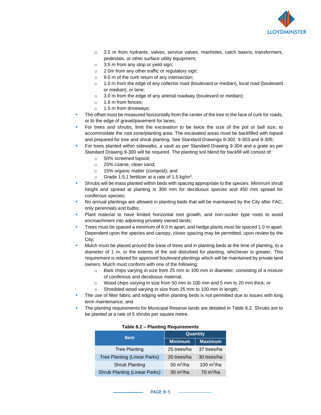

- o 3.5 m from hydrants, valves, service valves, manholes, catch basins, transformers, pedestals, or other surface utility equipment;
- o 3.5 m from any stop or yield sign;
- o 2.0m from any other traffic or regulatory sign;
- o 9.0 m of the curb return of any intersection;
- o 1.0 m from the edge of any collector road (boulevard or median), local road (boulevard or median), or lane;
- $\circ$  3.0 m from the edge of any arterial roadway (boulevard or median);
- o 1.8 m from fences;
- o 1.5 m from driveways;
- The offset must be measured horizontally from the center of the tree to the face of curb for roads, or to the edge of gravel/pavement for lanes;
- For trees and shrubs, limit the excavation to be twice the size of the pot or ball size, to accommodate the root zone/planting area. The excavated areas must be backfilled with topsoil and prepared for tree and shrub planting. See Standard Drawings 9-302, 9-303 and 9-305;
- For trees planted within sidewalks, a vault as per Standard Drawing 9-304 and a grate as per Standard Drawing 9-300 will be required. The planting soil blend for backfill will consist of:
	- o 50% screened topsoil;
	- o 25% coarse, clean sand;
	- o 15% organic matter (compost); and
	- o Grade 1:5:1 fertilizer at a rate of 1.5 kg/m<sup>3</sup>.
- **•** Shrubs will be mass planted within beds with spacing appropriate to the species. Minimum shrub height and spread at planting is 300 mm for deciduous species and 450 mm spread for coniferous species;
- No annual plantings are allowed in planting beds that will be maintained by the City after FAC, only perennials and bulbs;
- Plant material to have limited horizontal root growth, and non-sucker type roots to avoid encroachment into adjoining privately owned lands;
- Trees must be spaced a minimum of 6.0 m apart, and hedge plants must be spaced 1.0 m apart. Dependent upon the species and canopy, closer spacing may be permitted, upon review by the City;
- Mulch must be placed around the base of trees and in planting beds at the time of planting, to a diameter of 1 m, or the extents of the soil disturbed for planting, whichever is greater. This requirement is relaxed for approved boulevard plantings which will be maintained by private land owners. Mulch must conform with one of the following:
	- $\circ$  Bark chips varying in size from 25 mm to 100 mm in diameter, consisting of a mixture of coniferous and deciduous material;
	- o Wood chips varying in size from 50 mm to 100 mm and 5 mm to 20 mm thick; or
	- o Shredded wood varying in size from 25 mm to 100 mm in length;
- The use of filter fabric and edging within planting beds is not permitted due to issues with long term maintenance; and
- The planting requirements for Municipal Reserve lands are detailed in Table 8.2. Shrubs are to be planted at a rate of 5 shrubs per square metre.

| <b>Item</b>                   | <b>Quantity</b> |                        |
|-------------------------------|-----------------|------------------------|
|                               | <b>Minimum</b>  | <b>Maximum</b>         |
| <b>Tree Planting</b>          | 25 trees/ha     | 37 trees/ha            |
| Tree Planting (Linear Parks)  | 20 trees/ha     | 30 trees/ha            |
| Shrub Planting                | 50 $m^2/ha$     | 100 m <sup>2</sup> /ha |
| Shrub Planting (Linear Parks) | 30 $m^2/ha$     | $70 \text{ m}^2$ /ha   |

|  |  | <b>Table 8.2 - Planting Requirements</b> |
|--|--|------------------------------------------|
|--|--|------------------------------------------|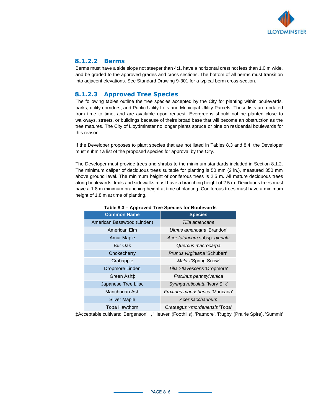

#### **8.1.2.2 Berms**

Berms must have a side slope not steeper than 4:1, have a horizontal crest not less than 1.0 m wide, and be graded to the approved grades and cross sections. The bottom of all berms must transition into adjacent elevations. See Standard Drawing 9-301 for a typical berm cross-section.

# **8.1.2.3 Approved Tree Species**

The following tables outline the tree species accepted by the City for planting within boulevards, parks, utility corridors, and Public Utility Lots and Municipal Utility Parcels. These lists are updated from time to time, and are available upon request. Evergreens should not be planted close to walkways, streets, or buildings because of theirs broad base that will become an obstruction as the tree matures. The City of Lloydminster no longer plants spruce or pine on residential boulevards for this reason.

If the Developer proposes to plant species that are not listed in Tables 8.3 and 8.4, the Developer must submit a list of the proposed species for approval by the City.

The Developer must provide trees and shrubs to the minimum standards included in Section 8.1.2. The minimum caliper of deciduous trees suitable for planting is 50 mm (2 in.), measured 350 mm above ground level. The minimum height of coniferous trees is 2.5 m. All mature deciduous trees along boulevards, trails and sidewalks must have a branching height of 2.5 m. Deciduous trees must have a 1.8 m minimum branching height at time of planting. Coniferous trees must have a minimum height of 1.8 m at time of planting.

| <b>Common Name</b>         | <b>Species</b>                  |
|----------------------------|---------------------------------|
| American Basswood (Linden) | Tilia americana                 |
| American Flm               | Ulmus americana 'Brandon'       |
| <b>Amur Maple</b>          | Acer tataricum subsp. ginnala   |
| <b>Bur Oak</b>             | Quercus macrocarpa              |
| Chokecherry                | Prunus virginiana 'Schubert'    |
| Crabapple                  | Malus 'Spring Snow'             |
| Dropmore Linden            | Tilia xflavescens 'Dropmore'    |
| Green Ash <sup>±</sup>     | Fraxinus pennsylvanica          |
| Japanese Tree Lilac        | Syringa reticulata 'Ivory Silk' |
| Manchurian Ash             | Fraxinus mandshurica 'Mancana'  |
| <b>Silver Maple</b>        | Acer saccharinum                |
| Toba Hawthorn              | Crataegus xmordenensis 'Toba'   |

#### **Table 8.3 – Approved Tree Species for Boulevards**

‡Acceptable cultivars: 'Bergenson' , 'Heuver' (Foothills), 'Patmore', 'Rugby' (Prairie Spire), 'Summit'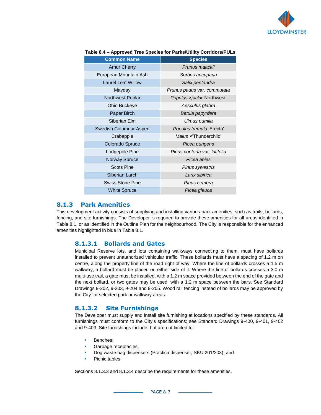

| <b>Common Name</b>        | <b>Species</b>                     |
|---------------------------|------------------------------------|
| <b>Amur Cherry</b>        | Prunus maackii                     |
| European Mountain Ash     | Sorbus aucuparia                   |
| <b>Laurel Leaf Willow</b> | Salix pentandra                    |
| Mayday                    | Prunus padus var. commutata        |
| Northwest Poplar          | <i>Populus xjackii 'Northwest'</i> |
| Ohio Buckeye              | Aesculus glabra                    |
| Paper Birch               | Betula papyrifera                  |
| Siberian Elm              | Ulmus pumila                       |
| Swedish Columnar Aspen    | Populus tremula 'Erecta'           |
| Crabapple                 | Malus x'Thunderchild'              |
| Colorado Spruce           | Picea pungens                      |
| Lodgepole Pine            | Pinus contorta var. latifolia      |
| Norway Spruce             | Picea abies                        |
| <b>Scots Pine</b>         | Pinus sylvestris                   |
| Siberian Larch            | Larix sibirica                     |
| <b>Swiss Stone Pine</b>   | Pinus cembra                       |
| <b>White Spruce</b>       | Picea glauca                       |

#### **Table 8.4 – Approved Tree Species for Parks/Utility Corridors/PULs**

#### **8.1.3 Park Amenities**

This development activity consists of supplying and installing various park amenities, such as trails, bollards, fencing, and site furnishings. The Developer is required to provide these amenities for all areas identified in Table 8.1, or as identified in the Outline Plan for the neighbourhood. The City is responsible for the enhanced amenities highlighted in blue in Table 8.1.

#### **8.1.3.1 Bollards and Gates**

Municipal Reserve lots, and lots containing walkways connecting to them, must have bollards installed to prevent unauthorized vehicular traffic. These bollards must have a spacing of 1.2 m on centre, along the property line of the road right of way. Where the line of bollards crosses a 1.5 m walkway, a bollard must be placed on either side of it. Where the line of bollards crosses a 3.0 m multi-use trail, a gate must be installed, with a 1.2 m space provided between the end of the gate and the next bollard, or two gates may be used, with a 1.2 m space between the bars. See Standard Drawings 9-202, 9-203, 9-204 and 9-205. Wood rail fencing instead of bollards may be approved by the City for selected park or walkway areas.

#### **8.1.3.2 Site Furnishings**

The Developer must supply and install site furnishing at locations specified by these standards. All furnishings must conform to the City's specifications; see Standard Drawings 9-400, 9-401, 9-402 and 9-403. Site furnishings include, but are not limited to:

- Benches;
- **Garbage receptacles;**
- Dog waste bag dispensers (Practica dispenser, SKU 201/203); and
- Picnic tables.

Sections 8.1.3.3 and 8.1.3.4 describe the requirements for these amenities.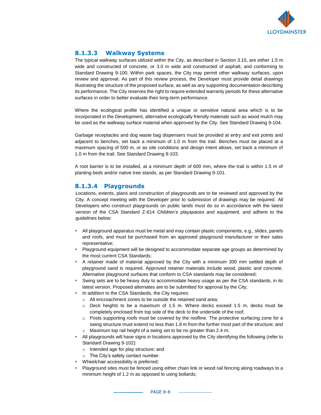

# **8.1.3.3 Walkway Systems**

The typical walkway surfaces utilized within the City, as described in Section 3.15, are either 1.5 m wide and constructed of concrete, or 3.0 m wide and constructed of asphalt, and conforming to Standard Drawing 9-100. Within park spaces, the City may permit other walkway surfaces, upon review and approval. As part of this review process, the Developer must provide detail drawings illustrating the structure of the proposed surface, as well as any supporting documentation describing its performance. The City reserves the right to require extended warranty periods for these alternative surfaces in order to better evaluate their long-term performance.

Where the ecological profile has identified a unique or sensitive natural area which is to be incorporated in the Development, alternative ecologically friendly materials such as wood mulch may be used as the walkway surface material when approved by the City. See Standard Drawing 9-104.

Garbage receptacles and dog waste bag dispensers must be provided at entry and exit points and adjacent to benches, set back a minimum of 1.0 m from the trail. Benches must be placed at a maximum spacing of 500 m, or as site conditions and design intent allows, set back a minimum of 1.0 m from the trail. See Standard Drawing 9-103.

A root barrier is to be installed, at a minimum depth of 600 mm, where the trail is within 1.5 m of planting beds and/or native tree stands, as per Standard Drawing 9-101.

#### **8.1.3.4 Playgrounds**

Locations, extents, plans and construction of playgrounds are to be reviewed and approved by the City. A concept meeting with the Developer prior to submission of drawings may be required. All Developers who construct playgrounds on public lands must do so in accordance with the latest version of the CSA Standard Z-614 *Children's playspaces and equipment,* and adhere to the guidelines below:

- All playground apparatus must be metal and may contain plastic components, e.g., slides, panels and roofs, and must be purchased from an approved playground manufacturer or their sales representative;
- Playground equipment will be designed to accommodate separate age groups as determined by the most current CSA Standards;
- **A** retainer made of material approved by the City with a minimum 300 mm settled depth of playground sand is required. Approved retainer materials include wood, plastic and concrete. Alternative playground surfaces that conform to CSA standards may be considered;
- Swing sets are to be heavy duty to accommodate heavy usage as per the CSA standards, in its latest version. Proposed alternates are to be submitted for approval by the City;
- In addition to the CSA Standards, the City requires:
	- o All encroachment zones to be outside the retained sand area;
	- $\circ$  Deck heights to be a maximum of 1.5 m. Where decks exceed 1.5 m, decks must be completely enclosed from top side of the deck to the underside of the roof;
	- $\circ$  Posts supporting roofs must be covered by the roofline. The protective surfacing zone for a swing structure must extend no less than 1.8 m from the further most part of the structure; and  $\circ$  Maximum top rail height of a swing set to be no greater than 2.4 m;
- All playgrounds will have signs in locations approved by the City identifying the following (refer to Standard Drawing 9-102):
	- o Intended age for play structure; and
	- o The City's safety contact number.
- **•** Wheelchair accessibility is preferred;
- Playground sites must be fenced using either chain link or wood rail fencing along roadways to a minimum height of 1.2 m as opposed to using bollards;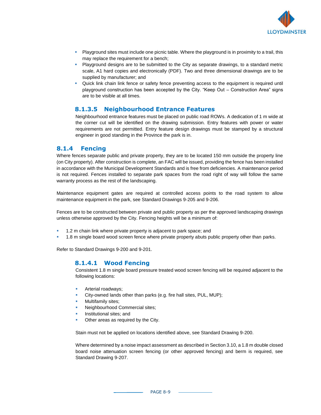

- **•** Playground sites must include one picnic table. Where the playground is in proximity to a trail, this may replace the requirement for a bench;
- **Playground designs are to be submitted to the City as separate drawings, to a standard metric** scale, A1 hard copies and electronically (PDF). Two and three dimensional drawings are to be supplied by manufacturer; and
- Quick link chain link fence or safety fence preventing access to the equipment is required until playground construction has been accepted by the City. "Keep Out – Construction Area" signs are to be visible at all times.

#### **8.1.3.5 Neighbourhood Entrance Features**

Neighbourhood entrance features must be placed on public road ROWs. A dedication of 1 m wide at the corner cut will be identified on the drawing submission. Entry features with power or water requirements are not permitted. Entry feature design drawings must be stamped by a structural engineer in good standing in the Province the park is in.

#### **8.1.4 Fencing**

Where fences separate public and private property, they are to be located 150 mm outside the property line (on City property). After construction is complete, an FAC will be issued, providing the fence has been installed in accordance with the Municipal Development Standards and is free from deficiencies. A maintenance period is not required. Fences installed to separate park spaces from the road right of way will follow the same warranty process as the rest of the landscaping.

Maintenance equipment gates are required at controlled access points to the road system to allow maintenance equipment in the park, see Standard Drawings 9-205 and 9-206.

Fences are to be constructed between private and public property as per the approved landscaping drawings unless otherwise approved by the City. Fencing heights will be a minimum of:

- **•** 1.2 m chain link where private property is adjacent to park space; and
- 1.8 m single board wood screen fence where private property abuts public property other than parks.

Refer to Standard Drawings 9-200 and 9-201.

#### **8.1.4.1 Wood Fencing**

Consistent 1.8 m single board pressure treated wood screen fencing will be required adjacent to the following locations:

- Arterial roadways;
- City-owned lands other than parks (e.g. fire hall sites, PUL, MUP);
- Multifamily sites;
- Neighbourhood Commercial sites;
- Institutional sites; and
- Other areas as required by the City.

Stain must not be applied on locations identified above, see Standard Drawing 9-200.

Where determined by a noise impact assessment as described in Section 3.10, a 1.8 m double closed board noise attenuation screen fencing (or other approved fencing) and berm is required, see Standard Drawing 9-207.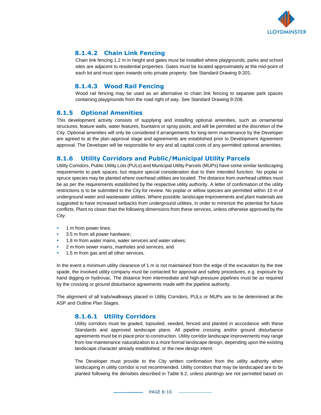

## **8.1.4.2 Chain Link Fencing**

Chain link fencing 1.2 m in height and gates must be installed where playgrounds, parks and school sites are adjacent to residential properties. Gates must be located approximately at the mid-point of each lot and must open inwards onto private property. See Standard Drawing 9-201.

## **8.1.4.3 Wood Rail Fencing**

Wood rail fencing may be used as an alternative to chain link fencing to separate park spaces containing playgrounds from the road right of way. See Standard Drawing 9-208.

#### **8.1.5 Optional Amenities**

This development activity consists of supplying and installing optional amenities, such as ornamental structures, feature walls, water features, fountains or spray pools, and will be permitted at the discretion of the City. Optional amenities will only be considered if arrangements for long-term maintenance by the Developer are agreed to at the plan approval stage and agreements are established prior to Development Agreement approval. The Developer will be responsible for any and all capital costs of any permitted optional amenities.

#### **8.1.6 Utility Corridors and Public/Municipal Utility Parcels**

Utility Corridors, Public Utility Lots (PULs) and Municipal Utility Parcels (MUPs) have some similar landscaping requirements to park spaces, but require special consideration due to their intended function. No poplar or spruce species may be planted where overhead utilities are located. The distance from overhead utilities must be as per the requirements established by the respective utility authority. A letter of confirmation of the utility restrictions is to be submitted to the City for review. No poplar or willow species are permitted within 10 m of underground water and wastewater utilities. Where possible, landscape improvements and plant materials are suggested to have increased setbacks from underground utilities, in order to minimize the potential for future conflicts. Plant no closer than the following dimensions from these services, unless otherwise approved by the City:

- 1 m from power lines;
- 3.5 m from all power hardware;
- 1.8 m from water mains, water services and water valves;
- 2 m from sewer mains, manholes and services; and
- 1.5 m from gas and all other services.

In the event a minimum utility clearance of 1 m is not maintained from the edge of the excavation by the tree spade, the involved utility company must be contacted for approval and safety procedures, e.g. exposure by hand digging or hydrovac. The distance from intermediate and high-pressure pipelines must be as required by the crossing or ground disturbance agreements made with the pipeline authority.

The alignment of all trails/walkways placed in Utility Corridors, PULs or MUPs are to be determined at the ASP and Outline Plan Stages.

#### **8.1.6.1 Utility Corridors**

Utility corridors must be graded, topsoiled, seeded, fenced and planted in accordance with these Standards and approved landscape plans. All pipeline crossing and/or ground disturbance agreements must be in place prior to construction. Utility corridor landscape improvements may range from low maintenance naturalization to a more formal landscape design, depending upon the existing landscape character already established, or the new design intent.

The Developer must provide to the City written confirmation from the utility authority when landscaping in utility corridor is not recommended. Utility corridors that may be landscaped are to be planted following the densities described in Table 8.2, unless plantings are not permitted based on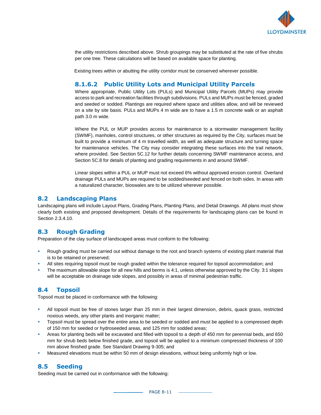

the utility restrictions described above. Shrub groupings may be substituted at the rate of five shrubs per one tree. These calculations will be based on available space for planting.

Existing trees within or abutting the utility corridor must be conserved wherever possible.

#### **8.1.6.2 Public Utility Lots and Municipal Utility Parcels**

Where appropriate, Public Utility Lots (PULs) and Municipal Utility Parcels (MUPs) may provide access to park and recreation facilities through subdivisions. PULs and MUPs must be fenced, graded and seeded or sodded. Plantings are required where space and utilities allow, and will be reviewed on a site by site basis. PULs and MUPs 4 m wide are to have a 1.5 m concrete walk or an asphalt path 3.0 m wide.

Where the PUL or MUP provides access for maintenance to a stormwater management facility (SWMF), manholes, control structures, or other structures as required by the City, surfaces must be built to provide a minimum of 4 m travelled width, as well as adequate structure and turning space for maintenance vehicles. The City may consider integrating these surfaces into the trail network, where provided. See Section 5C.12 for further details concerning SWMF maintenance access, and Section 5C.8 for details of planting and grading requirements in and around SWMF.

Linear slopes within a PUL or MUP must not exceed 6% without approved erosion control. Overland drainage PULs and MUPs are required to be sodded/seeded and fenced on both sides. In areas with a naturalized character, bioswales are to be utilized wherever possible.

#### **8.2 Landscaping Plans**

Landscaping plans will include Layout Plans, Grading Plans, Planting Plans, and Detail Drawings. All plans must show clearly both existing and proposed development. Details of the requirements for landscaping plans can be found in Section 2.3.4.10.

#### **8.3 Rough Grading**

Preparation of the clay surface of landscaped areas must conform to the following:

- Rough grading must be carried out without damage to the root and branch systems of existing plant material that is to be retained or preserved;
- All sites requiring topsoil must be rough graded within the tolerance required for topsoil accommodation; and
- The maximum allowable slope for all new hills and berms is 4:1, unless otherwise approved by the City. 3:1 slopes will be acceptable on drainage side slopes, and possibly in areas of minimal pedestrian traffic.

#### **8.4 Topsoil**

Topsoil must be placed in conformance with the following:

- All topsoil must be free of stones larger than 25 mm in their largest dimension, debris, quack grass, restricted noxious weeds, any other plants and inorganic matter;
- Topsoil must be spread over the entire area to be seeded or sodded and must be applied to a compressed depth of 150 mm for seeded or hydroseeded areas, and 125 mm for sodded areas;
- Areas for planting beds will be excavated and filled with topsoil to a depth of 450 mm for perennial beds, and 650 mm for shrub beds below finished grade, and topsoil will be applied to a minimum compressed thickness of 100 mm above finished grade. See Standard Drawing 9-305; and
- Measured elevations must be within 50 mm of design elevations, without being uniformly high or low.

#### **8.5 Seeding**

Seeding must be carried out in conformance with the following: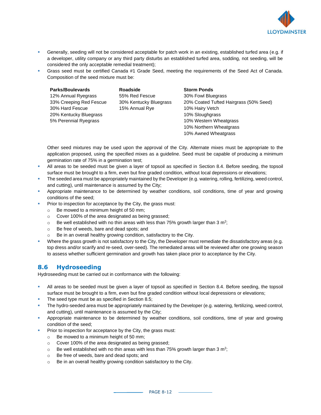

- Generally, seeding will not be considered acceptable for patch work in an existing, established turfed area (e.g. if a developer, utility company or any third party disturbs an established turfed area, sodding, not seeding, will be considered the only acceptable remedial treatment);
- Grass seed must be certified Canada #1 Grade Seed, meeting the requirements of the Seed Act of Canada. Composition of the seed mixture must be:

| <b>Parks/Boulevards</b> | <b>Roadside</b>        | <b>Storm Ponds</b>                     |
|-------------------------|------------------------|----------------------------------------|
| 12% Annual Ryegrass     | 55% Red Fescue         | 30% Fowl Bluegrass                     |
| 33% Creeping Red Fescue | 30% Kentucky Bluegrass | 20% Coated Tufted Hairgrass (50% Seed) |
| 30% Hard Fescue         | 15% Annual Rye         | 10% Hairy Vetch                        |
| 20% Kentucky Bluegrass  |                        | 10% Sloughgrass                        |
| 5% Perennial Ryegrass   |                        | 10% Western Wheatgrass                 |
|                         |                        | 10% Northern Wheatgrass                |
|                         |                        |                                        |

Other seed mixtures may be used upon the approval of the City. Alternate mixes must be appropriate to the application proposed, using the specified mixes as a guideline. Seed must be capable of producing a minimum germination rate of 75% in a germination test;

10% Awned Wheatgrass

- All areas to be seeded must be given a layer of topsoil as specified in Section 8.4. Before seeding, the topsoil surface must be brought to a firm, even but fine graded condition, without local depressions or elevations;
- **The seeded area must be appropriately maintained by the Developer (e.g. watering, rolling, fertilizing, weed control,** and cutting), until maintenance is assumed by the City;
- Appropriate maintenance to be determined by weather conditions, soil conditions, time of year and growing conditions of the seed;
- Prior to inspection for acceptance by the City, the grass must:
	- o Be mowed to a minimum height of 50 mm;
	- o Cover 100% of the area designated as being grassed;
	- $\circ$  Be well established with no thin areas with less than 75% growth larger than 3 m<sup>2</sup>;
	- o Be free of weeds, bare and dead spots; and
	- Be in an overall healthy growing condition, satisfactory to the City.
- Where the grass growth is not satisfactory to the City, the Developer must remediate the dissatisfactory areas (e.g. top dress and/or scarify and re-seed, over-seed). The remediated areas will be reviewed after one growing season to assess whether sufficient germination and growth has taken place prior to acceptance by the City.

#### **8.6 Hydroseeding**

Hydroseeding must be carried out in conformance with the following:

- All areas to be seeded must be given a layer of topsoil as specified in Section 8.4. Before seeding, the topsoil surface must be brought to a firm, even but fine graded condition without local depressions or elevations;
- The seed type must be as specified in Section 8.5;
- The hydro-seeded area must be appropriately maintained by the Developer (e.g. watering, fertilizing, weed control, and cutting), until maintenance is assumed by the City;
- Appropriate maintenance to be determined by weather conditions, soil conditions, time of year and growing condition of the seed;
- Prior to inspection for acceptance by the City, the grass must:
	- o Be mowed to a minimum height of 50 mm;
	- o Cover 100% of the area designated as being grassed;
	- $\circ$  Be well established with no thin areas with less than 75% growth larger than 3 m<sup>2</sup>;
	- o Be free of weeds, bare and dead spots; and
	- o Be in an overall healthy growing condition satisfactory to the City.